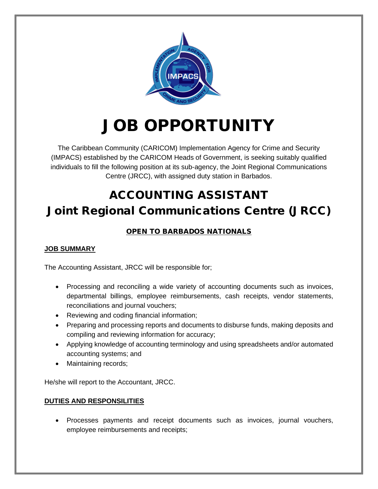

# JOB OPPORTUNITY

The Caribbean Community (CARICOM) Implementation Agency for Crime and Security (IMPACS) established by the CARICOM Heads of Government, is seeking suitably qualified individuals to fill the following position at its sub-agency, the Joint Regional Communications Centre (JRCC), with assigned duty station in Barbados.

# ACCOUNTING ASSISTANT Joint Regional Communications Centre (JRCC)

### OPEN TO BARBADOS NATIONALS

#### **JOB SUMMARY**

The Accounting Assistant, JRCC will be responsible for;

- Processing and reconciling a wide variety of accounting documents such as invoices, departmental billings, employee reimbursements, cash receipts, vendor statements, reconciliations and journal vouchers;
- Reviewing and coding financial information;
- Preparing and processing reports and documents to disburse funds, making deposits and compiling and reviewing information for accuracy;
- Applying knowledge of accounting terminology and using spreadsheets and/or automated accounting systems; and
- Maintaining records;

He/she will report to the Accountant, JRCC.

#### **DUTIES AND RESPONSILITIES**

• Processes payments and receipt documents such as invoices, journal vouchers, employee reimbursements and receipts;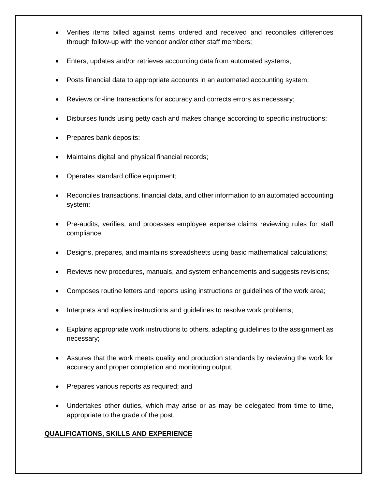- Verifies items billed against items ordered and received and reconciles differences through follow-up with the vendor and/or other staff members;
- Enters, updates and/or retrieves accounting data from automated systems;
- Posts financial data to appropriate accounts in an automated accounting system;
- Reviews on-line transactions for accuracy and corrects errors as necessary;
- Disburses funds using petty cash and makes change according to specific instructions;
- Prepares bank deposits;
- Maintains digital and physical financial records;
- Operates standard office equipment;
- Reconciles transactions, financial data, and other information to an automated accounting system;
- Pre-audits, verifies, and processes employee expense claims reviewing rules for staff compliance;
- Designs, prepares, and maintains spreadsheets using basic mathematical calculations;
- Reviews new procedures, manuals, and system enhancements and suggests revisions;
- Composes routine letters and reports using instructions or guidelines of the work area;
- Interprets and applies instructions and guidelines to resolve work problems;
- Explains appropriate work instructions to others, adapting guidelines to the assignment as necessary;
- Assures that the work meets quality and production standards by reviewing the work for accuracy and proper completion and monitoring output.
- Prepares various reports as required; and
- Undertakes other duties, which may arise or as may be delegated from time to time, appropriate to the grade of the post.

#### **QUALIFICATIONS, SKILLS AND EXPERIENCE**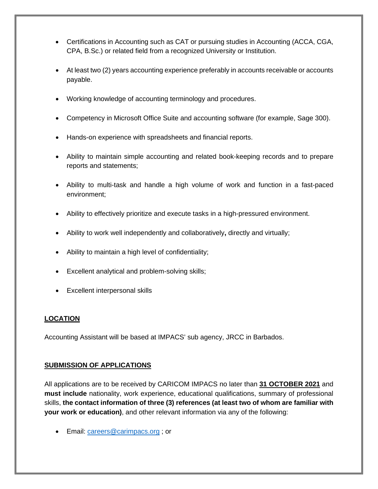- Certifications in Accounting such as CAT or pursuing studies in Accounting (ACCA, CGA, CPA, B.Sc.) or related field from a recognized University or Institution.
- At least two (2) years accounting experience preferably in accounts receivable or accounts payable.
- Working knowledge of accounting terminology and procedures.
- Competency in Microsoft Office Suite and accounting software (for example, Sage 300).
- Hands-on experience with spreadsheets and financial reports.
- Ability to maintain simple accounting and related book-keeping records and to prepare reports and statements;
- Ability to multi-task and handle a high volume of work and function in a fast-paced environment;
- Ability to effectively prioritize and execute tasks in a high-pressured environment.
- Ability to work well independently and collaboratively**,** directly and virtually;
- Ability to maintain a high level of confidentiality;
- Excellent analytical and problem-solving skills;
- Excellent interpersonal skills

#### **LOCATION**

Accounting Assistant will be based at IMPACS' sub agency, JRCC in Barbados.

#### **SUBMISSION OF APPLICATIONS**

All applications are to be received by CARICOM IMPACS no later than **31 OCTOBER 2021** and **must include** nationality, work experience, educational qualifications, summary of professional skills, **the contact information of three (3) references (at least two of whom are familiar with your work or education)**, and other relevant information via any of the following:

• Email: [careers@carimpacs.org](mailto:careers@carimpacs.org) ; or